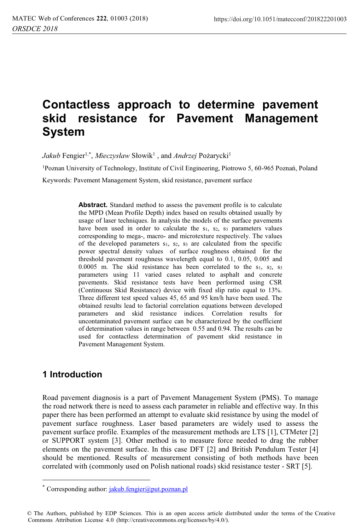# **Contactless approach to determine pavement skid resistance for Pavement Management System**

 $Jakub$  Fengier<sup>1,\*</sup>, *Mieczysław* Słowik<sup>1</sup>, and *Andrzej* Pożarycki<sup>1</sup>

1Poznan University of Technology, Institute of Civil Engineering, Piotrowo 5, 60-965 Poznań, Poland

Keywords: Pavement Management System, skid resistance, pavement surface

Abstract. Standard method to assess the pavement profile is to calculate the MPD (Mean Profile Depth) index based on results obtained usually by usage of laser techniques. In analysis the models of the surface pavements have been used in order to calculate the s<sub>1</sub>, s<sub>2</sub>, s<sub>3</sub> parameters values corresponding to mega-, macro- and microtexture respectively. The values of the developed parameters s1, s2, s3 are calculated from the specific power spectral density values of surface roughness obtained for the threshold pavement roughness wavelength equal to 0.1, 0.05, 0.005 and 0.0005 m. The skid resistance has been correlated to the  $s_1$ ,  $s_2$ ,  $s_3$ parameters using 11 varied cases related to asphalt and concrete pavements. Skid resistance tests have been performed using CSR (Continuous Skid Resistance) device with fixed slip ratio equal to 13%. Three different test speed values 45, 65 and 95 km/h have been used. The obtained results lead to factorial correlation equations between developed parameters and skid resistance indices. Correlation results for uncontaminated pavement surface can be characterized by the coefficient of determination values in range between 0.55 and 0.94. The results can be used for contactless determination of pavement skid resistance in Pavement Management System.

# **1 Introduction**

 $\overline{a}$ 

Road pavement diagnosis is a part of Pavement Management System (PMS). To manage the road network there is need to assess each parameter in reliable and effective way. In this paper there has been performed an attempt to evaluate skid resistance by using the model of pavement surface roughness. Laser based parameters are widely used to assess the pavement surface profile. Examples of the measurement methods are LTS [1], CTMeter [2] or SUPPORT system [3]. Other method is to measure force needed to drag the rubber elements on the pavement surface. In this case DFT [2] and British Pendulum Tester [4] should be mentioned. Results of measurement consisting of both methods have been correlated with (commonly used on Polish national roads) skid resistance tester - SRT [5].

<sup>\*</sup> Corresponding author:  $jakub. \nfengier@put. \npoznan.pl$ 

<sup>©</sup> The Authors, published by EDP Sciences. This is an open access article distributed under the terms of the Creative Commons Attribution License 4.0 (http://creativecommons.org/licenses/by/4.0/).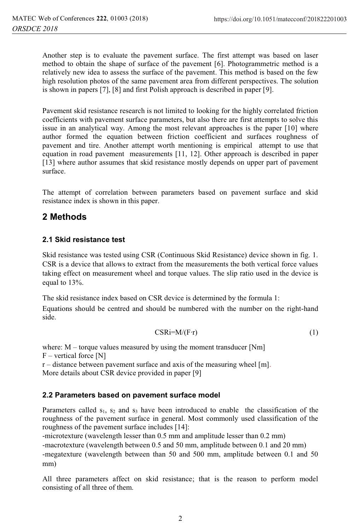Another step is to evaluate the pavement surface. The first attempt was based on laser method to obtain the shape of surface of the pavement [6]. Photogrammetric method is a relatively new idea to assess the surface of the pavement. This method is based on the few high resolution photos of the same pavement area from different perspectives. The solution is shown in papers [7], [8] and first Polish approach is described in paper [9].

Pavement skid resistance research is not limited to looking for the highly correlated friction coefficients with pavement surface parameters, but also there are first attempts to solve this issue in an analytical way. Among the most relevant approaches is the paper [10] where author formed the equation between friction coefficient and surfaces roughness of pavement and tire. Another attempt worth mentioning is empirical attempt to use that equation in road pavement measurements [11, 12]. Other approach is described in paper [13] where author assumes that skid resistance mostly depends on upper part of pavement surface.

The attempt of correlation between parameters based on pavement surface and skid resistance index is shown in this paper.

### **2 Methods**

#### **2.1 Skid resistance test**

Skid resistance was tested using CSR (Continuous Skid Resistance) device shown in fig. 1. CSR is a device that allows to extract from the measurements the both vertical force values taking effect on measurement wheel and torque values. The slip ratio used in the device is equal to 13%.

The skid resistance index based on CSR device is determined by the formula 1:

Equations should be centred and should be numbered with the number on the right-hand side.

$$
CSRi=M/(F\cdot r)\tag{1}
$$

where: M – torque values measured by using the moment transducer [Nm]  $F$  – vertical force [N]  $r$  – distance between pavement surface and axis of the measuring wheel [m]. More details about CSR device provided in paper [9]

#### **2.2 Parameters based on pavement surface model**

Parameters called  $s_1$ ,  $s_2$  and  $s_3$  have been introduced to enable the classification of the roughness of the pavement surface in general. Most commonly used classification of the roughness of the pavement surface includes [14]:

-microtexture (wavelength lesser than 0.5 mm and amplitude lesser than 0.2 mm) -macrotexture (wavelength between 0.5 and 50 mm, amplitude between 0.1 and 20 mm) -megatexture (wavelength between than 50 and 500 mm, amplitude between 0.1 and 50 mm)

All three parameters affect on skid resistance; that is the reason to perform model consisting of all three of them.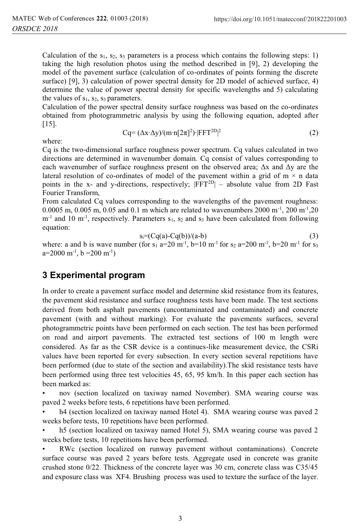2 (2)

Calculation of the  $s_1$ ,  $s_2$ ,  $s_3$  parameters is a process which contains the following steps: 1) taking the high resolution photos using the method described in [9], 2) developing the model of the pavement surface (calculation of co-ordinates of points forming the discrete surface) [9], 3) calculation of power spectral density for 2D model of achieved surface, 4) determine the value of power spectral density for specific wavelengths and 5) calculating the values of  $s_1$ ,  $s_2$ ,  $s_3$  parameters.

Calculation of the power spectral density surface roughness was based on the co-ordinates obtained from photogrammetric analysis by using the following equation, adopted after [15].

Cq=  $(\Delta x \cdot \Delta y) / (m \cdot n [2\pi]^2) \cdot |FFT^{2D}|$ 

where:

Cq is the two-dimensional surface roughness power spectrum. Cq values calculated in two directions are determined in wavenumber domain. Cq consist of values corresponding to each wavenumber of surface roughness present on the observed area; 
$$
\Delta x
$$
 and  $\Delta y$  are the lateral resolution of co-ordinates of model of the pavement within a grid of m  $\times$  n data points in the x- and y-directions, respectively;  $|FFT^{2D}|$  – absolute value from 2D Fast Fourier Transform.

From calculated Cq values corresponding to the wavelengths of the pavement roughness: 0.0005 m, 0.005 m, 0.05 and 0.1 m which are related to wavenumbers 2000 m<sup>-1</sup>, 200 m<sup>-1</sup>, 20  $m^{-1}$  and 10 m<sup>-1</sup>, respectively. Parameters  $s_1$ ,  $s_2$  and  $s_3$  have been calculated from following equation:

$$
s_i = (Cq(a) - Cq(b))/(a-b)
$$
 (3)

where: a and b is wave number (for s<sub>1</sub> a=20 m<sup>-1</sup>, b=10 m<sup>-1</sup> for s<sub>2</sub> a=200 m<sup>-1</sup>, b=20 m<sup>-1</sup> for s<sub>3</sub>  $a=2000 \text{ m}^{-1}$ ,  $b = 200 \text{ m}^{-1}$ 

#### **3 Experimental program**

In order to create a pavement surface model and determine skid resistance from its features, the pavement skid resistance and surface roughness tests have been made. The test sections derived from both asphalt pavements (uncontaminated and contaminated) and concrete pavement (with and without marking). For evaluate the pavements surfaces, several photogrammetric points have been performed on each section. The test has been performed on road and airport pavements. The extracted test sections of 100 m length were considered. As far as the CSR device is a continues-like measurement device, the CSRi values have been reported for every subsection. In every section several repetitions have been performed (due to state of the section and availability).The skid resistance tests have been performed using three test velocities 45, 65, 95 km/h. In this paper each section has been marked as:

• nov (section localized on taxiway named November). SMA wearing course was paved 2 weeks before tests, 6 repetitions have been performed.

h4 (section localized on taxiway named Hotel 4). SMA wearing course was paved 2 weeks before tests, 10 repetitions have been performed.

• h5 (section localized on taxiway named Hotel 5), SMA wearing course was paved 2 weeks before tests, 10 repetitions have been performed.

RWc (section localized on runway pavement without contaminations). Concrete surface course was paved 2 years before tests. Aggregate used in concrete was granite crushed stone 0/22. Thickness of the concrete layer was 30 cm, concrete class was C35/45 and exposure class was XF4. Brushing process was used to texture the surface of the layer.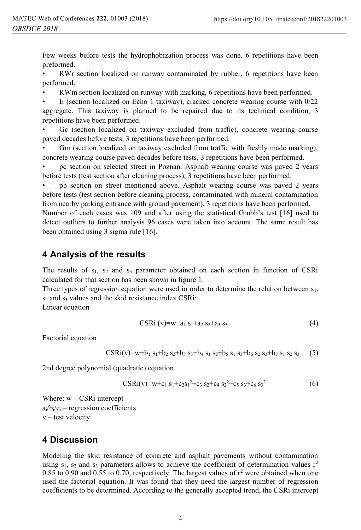Few weeks before tests the hydrophobization process was done. 6 repetitions have been preformed.

RWr section localized on runway contaminated by rubber, 6 repetitions have been performed.

• RWm section localized on runway with marking, 6 repetitions have been performed.

• E (section localized on Echo 1 taxiway), cracked concrete wearing course with 0/22 aggregate. This taxiway is planned to be repaired due to its technical condition, 3 repetitions have been performed.

• Gc (section localized on taxiway excluded from traffic), concrete wearing course paved decades before tests, 3 repetitions have been performed.

• Gm (section localized on taxiway excluded from traffic with freshly made marking), concrete wearing course paved decades before tests, 3 repetitions have been performed.

• pc section on selected street in Poznan. Asphalt wearing course was paved 2 years before tests (test section after cleaning process), 3 repetitions have been performed.

• pb section on street mentioned above. Asphalt wearing course was paved 2 years before tests (test section before cleaning process, contaminated with mineral contamination from nearby parking entrance with ground pavement), 3 repetitions have been performed.

Number of each cases was 109 and after using the statistical Grubb's test [16] used to detect outliers to further analysis 96 cases were taken into account. The same result has been obtained using 3 sigma rule [16].

# **4 Analysis of the results**

The results of  $s_1$ ,  $s_2$  and  $s_3$  parameter obtained on each section in function of CSRi calculated for that section has been shown in figure 1.

Three types of regression equation were used in order to determine the relation between  $s<sub>1</sub>$ , s<sub>2</sub> and s<sub>3</sub> values and the skid resistance index CSRi:

Linear equation

$$
CSRi (v)=w+a_1 s_1+a_2 s_2+a_3 s_3
$$
 (4)

Factorial equation

$$
CSRi(v) = w + b_1 s_1 + b_2 s_2 + b_3 s_3 + b_4 s_1 s_2 + b_5 s_1 s_3 + b_6 s_2 s_3 + b_7 s_1 s_2 s_3
$$
 (5)

2nd degree polynomial (quadratic) equation

$$
CSRi(v)=w+c_1 s_1+c_2s_1^2+c_3 s_2+c_4 s_2^2+c_5 s_3+c_6 s_3^2
$$
\n(6)

Where:  $w - \text{CSRi}$  intercept  $a_i/b_i/c_i$  – regression coefficients  $v$  – test velocity

### **4 Discussion**

Modeling the skid resistance of concrete and asphalt pavements without contamination using  $s_1$ ,  $s_2$  and  $s_3$  parameters allows to achieve the coefficient of determination values  $r^2$ 0.85 to 0.90 and 0.55 to 0.70, respectively. The largest values of  $r^2$  were obtained when one used the factorial equation. It was found that they need the largest number of regression coefficients to be determined. According to the generally accepted trend, the CSRi intercept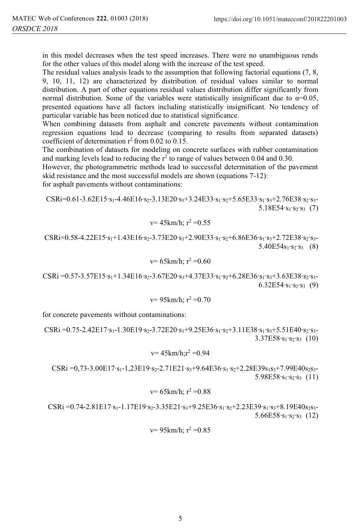in this model decreases when the test speed increases. There were no unambiguous rends for the other values of this model along with the increase of the test speed.

The residual values analysis leads to the assumption that following factorial equations (7, 8, 9, 10, 11, 12) are characterized by distribution of residual values similar to normal distribution. A part of other equations residual values distribution differ significantly from normal distribution. Some of the variables were statistically insignificant due to  $\alpha=0.05$ , presented equations have all factors including statistically insignificant. No tendency of particular variable has been noticed due to statistical significance.

When combining datasets from asphalt and concrete pavements without contamination regression equations lead to decrease (comparing to results from separated datasets) coefficient of determination  $r^2$  from 0.02 to 0.15.

The combination of datasets for modeling on concrete surfaces with rubber contamination and marking levels lead to reducing the  $r^2$  to range of values between 0.04 and 0.30.

However, the photogrammetric methods lead to successful determination of the pavement skid resistance and the most successful models are shown (equations 7-12):

for asphalt pavements without contaminations:

CSRi=0.61-3.62E15⋅s<sub>1</sub>-4.46E16⋅s<sub>2</sub>-3.13E20⋅s<sub>3</sub>+3.24E33⋅s<sub>1</sub>⋅s<sub>2</sub>+5.65E33⋅s<sub>1</sub>⋅s<sub>3</sub>+2.76E38⋅s<sub>2</sub>⋅s<sub>3</sub>- $5.18E54·s<sub>1</sub>·s<sub>2</sub>·s<sub>3</sub>$  (7)

$$
v=45 \text{km/h}; r^2=0.55
$$

 $CSRi=0.58-4.22E15·s<sub>1</sub>+1.43E16·s<sub>2</sub>-3.73E20·s<sub>3</sub>+2.90E33·s<sub>1</sub>·s<sub>2</sub>+6.86E36·s<sub>1</sub>·s<sub>3</sub>+2.72E38·s<sub>2</sub>·s<sub>3</sub>$  $5.40E54s<sub>1</sub>·s<sub>2</sub>·s<sub>3</sub>$  (8)

$$
v=65 \text{km/h}; r^2=0.60
$$

CSRi =0.57-3.57E15⋅s<sub>1</sub>+1.34E16⋅s<sub>2</sub>-3.67E20⋅s<sub>3</sub>+4.37E33⋅s<sub>1</sub>⋅s<sub>2</sub>+6.28E36⋅s<sub>1</sub>⋅s<sub>3</sub>+3.63E38⋅s<sub>2</sub>⋅s<sub>3</sub>- $6.32E54·s<sub>1</sub>·s<sub>2</sub>·s<sub>3</sub>$  (9)

$$
v=95 \text{km/h}
$$
;  $r^2=0.70$ 

for concrete pavements without contaminations:

CSRi =0.75-2.42E17⋅s<sub>1</sub>-1.30E19⋅s<sub>2</sub>-3.72E20⋅s<sub>3</sub>+9.25E36⋅s<sub>1</sub>⋅s<sub>2</sub>+3.11E38⋅s<sub>1</sub>⋅s<sub>3</sub>+5.51E40⋅s<sub>2</sub>⋅s<sub>3</sub>- $3.37E58·s<sub>1</sub>·s<sub>2</sub>·s<sub>3</sub>$  (10)

$$
v=45 \text{km/h};r^2=0.94
$$

CSRi =0,73-3.00E17⋅s<sub>1</sub>-1,23E19⋅s<sub>2</sub>-2.71E21⋅s<sub>3</sub>+9.64E36⋅s<sub>1</sub>⋅s<sub>2</sub>+2.28E39s<sub>1</sub>s<sub>3</sub>+7.99E40s<sub>2</sub>s<sub>3</sub>- $5.98E58·s<sub>1</sub>·s<sub>2</sub>·s<sub>3</sub>$  (11)

$$
v=65 \text{km/h}; r^2=0.88
$$

CSRi =0.74-2.81E17⋅s<sub>1</sub>-1.17E19⋅s<sub>2</sub>-3.35E21⋅s<sub>3</sub>+9.25E36⋅s<sub>1</sub>⋅s<sub>2</sub>+2.23E39⋅s<sub>1</sub>⋅s<sub>3</sub>+8.19E40s<sub>2</sub>s<sub>3</sub>-5.66E58∙s1∙s2∙s3 (12)

$$
v=95 \text{km/h}; r^2=0.85
$$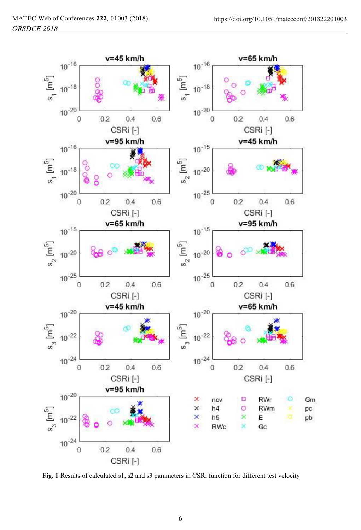

**Fig. 1** Results of calculated s1, s2 and s3 parameters in CSRi function for different test velocity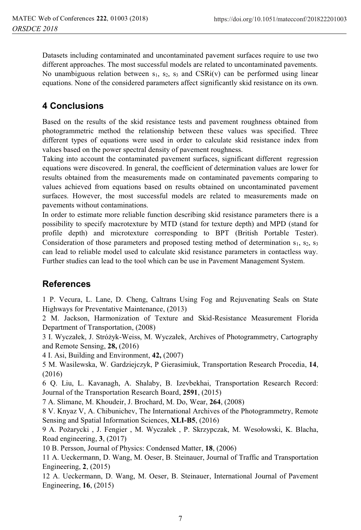Datasets including contaminated and uncontaminated pavement surfaces require to use two different approaches. The most successful models are related to uncontaminated pavements. No unambiguous relation between  $s_1$ ,  $s_2$ ,  $s_3$  and CSRi(v) can be performed using linear equations. None of the considered parameters affect significantly skid resistance on its own.

# **4 Conclusions**

Based on the results of the skid resistance tests and pavement roughness obtained from photogrammetric method the relationship between these values was specified. Three different types of equations were used in order to calculate skid resistance index from values based on the power spectral density of pavement roughness.

Taking into account the contaminated pavement surfaces, significant different regression equations were discovered. In general, the coefficient of determination values are lower for results obtained from the measurements made on contaminated pavements comparing to values achieved from equations based on results obtained on uncontaminated pavement surfaces. However, the most successful models are related to measurements made on pavements without contaminations.

In order to estimate more reliable function describing skid resistance parameters there is a possibility to specify macrotexture by MTD (stand for texture depth) and MPD (stand for profile depth) and microtexture corresponding to BPT (British Portable Tester). Consideration of those parameters and proposed testing method of determination  $s_1$ ,  $s_2$ ,  $s_3$ can lead to reliable model used to calculate skid resistance parameters in contactless way. Further studies can lead to the tool which can be use in Pavement Management System.

# **References**

1 P. Vecura, L. Lane, D. Cheng, Caltrans Using Fog and Rejuvenating Seals on State Highways for Preventative Maintenance, (2013)

2 M. Jackson, Harmonization of Texture and Skid-Resistance Measurement Florida Department of Transportation, (2008)

3 I. Wyczałek, J. Stróżyk-Weiss, M. Wyczałek, Archives of Photogrammetry, Cartography and Remote Sensing, **28,** (2016)

4 I. Asi, Building and Environment, **42,** (2007)

5 M. Wasilewska, W. Gardziejczyk, P Gierasimiuk, Transportation Research Procedia, **14**, (2016)

6 Q. Liu, L. Kavanagh, A. Shalaby, B. Izevbekhai, Transportation Research Record: Journal of the Transportation Research Board, **2591**, (2015)

7 A. Slimane, M. Khoudeir, J. Brochard, M. Do, Wear, **264**, (2008)

8 V. Knyaz V, A. Chibunichev, The International Archives of the Photogrammetry, Remote Sensing and Spatial Information Sciences, **XLI-B5**, (2016)

9 A. Pożarycki , J. Fengier , M. Wyczałek , P. Skrzypczak, M. Wesołowski, K. Blacha, Road engineering, **3**, (2017)

10 B. Persson, Journal of Physics: Condensed Matter, **18**, (2006)

11 A. Ueckermann, D. Wang, M. Oeser, B. Steinauer, Journal of Traffic and Transportation Engineering, **2**, (2015)

12 A. Ueckermann, D. Wang, M. Oeser, B. Steinauer, International Journal of Pavement Engineering, **16**, (2015)